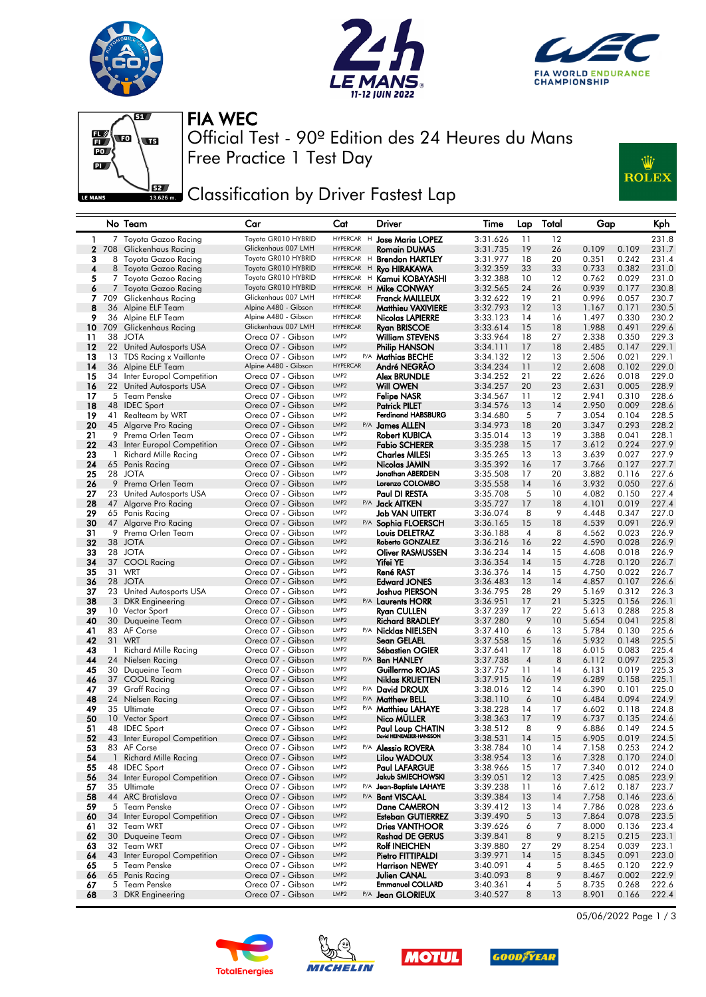







Free Practice 1 Test Day Official Test - 90º Edition des 24 Heures du Mans FIA WEC



## Classification by Driver Fastest Lap

|              |    | No Team                                     | Car                                         | Cat                                  | Driver                                 | Time                 | Lap            | Total    | Gap                              | Kph            |
|--------------|----|---------------------------------------------|---------------------------------------------|--------------------------------------|----------------------------------------|----------------------|----------------|----------|----------------------------------|----------------|
| 1            |    | 7 Toyota Gazoo Racing                       | Toyota GR010 HYBRID                         | HYPERCAR H                           | <b>Jose Maria LOPEZ</b>                | 3:31.626             | 11             | 12       |                                  | 231.8          |
| $\mathbf{2}$ |    | 708 Glickenhaus Racing                      | Glickenhaus 007 LMH                         | <b>HYPERCAR</b>                      | Romain DUMAS                           | 3:31.735             | 19             | 26       | 0.109<br>0.109                   | 231.7          |
| з            | 8  | Toyota Gazoo Racing                         | Toyota GR010 HYBRID                         | HYPERCAR H                           | <b>Brendon HARTLEY</b>                 | 3:31.977             | 18             | 20       | 0.351<br>0.242                   | 231.4          |
| 4            |    | 8 Toyota Gazoo Racing                       | Toyota GR010 HYBRID                         | HYPERCAR H                           | Ryo HIRAKAWA                           | 3:32.359             | 33             | 33       | 0.382<br>0.733                   | 231.0          |
| 5            | 7. | Toyota Gazoo Racing                         | Toyota GR010 HYBRID                         | <b>HYPERCAR</b>                      | H<br>Kamui KOBAYASHI                   | 3:32.388             | 10             | 12       | 0.762<br>0.029                   | 231.0          |
| 6            | 7  | Toyota Gazoo Racing                         | Toyota GR010 HYBRID                         | HYPERCAR H                           | Mike CONWAY                            | 3:32.565             | 24             | 26       | 0.939<br>0.177                   | 230.8          |
| 7.           |    | 709 Glickenhaus Racing                      | Glickenhaus 007 LMH<br>Alpine A480 - Gibson | <b>HYPERCAR</b><br><b>HYPERCAR</b>   | Franck MAILLEUX                        | 3:32.622             | 19             | 21       | 0.996<br>0.057                   | 230.7          |
| 8<br>9       | 36 | 36 Alpine ELF Team<br>Alpine ELF Team       | Alpine A480 - Gibson                        | <b>HYPERCAR</b>                      | Matthieu VAXIVIERE<br>Nicolas LAPIERRE | 3:32.793<br>3:33.123 | 12<br>14       | 13<br>16 | 0.171<br>1.167<br>1.497<br>0.330 | 230.5<br>230.2 |
| 10           |    | 709 Glickenhaus Racing                      | Glickenhaus 007 LMH                         | <b>HYPERCAR</b>                      | <b>Ryan BRISCOE</b>                    | 3:33.614             | 15             | 18       | 1.988<br>0.491                   | 229.6          |
| 11           |    | 38 JOTA                                     | Oreca 07 - Gibson                           | LMP <sub>2</sub>                     | William STEVENS                        | 3:33.964             | 18             | 27       | 2.338<br>0.350                   | 229.3          |
| 12           |    | 22 United Autosports USA                    | Oreca 07 - Gibson                           | LMP <sub>2</sub>                     | Philip HANSON                          | 3:34.111             | 17             | 18       | 2.485<br>0.147                   | 229.1          |
| 13           | 13 | TDS Racing x Vaillante                      | Oreca 07 - Gibson                           | LMP <sub>2</sub>                     | P/A Mathias BECHE                      | 3:34.132             | 12             | 13       | 2.506<br>0.021                   | 229.1          |
| 14           |    | 36 Alpine ELF Team                          | Alpine A480 - Gibson                        | <b>HYPERCAR</b>                      | André NEGRÃO                           | 3:34.234             | 11             | 12       | 2.608<br>0.102                   | 229.0          |
| 15           |    | 34 Inter Europol Competition                | Oreca 07 - Gibson                           | LMP <sub>2</sub>                     | Alex BRUNDLE                           | 3:34.252             | 21             | 22       | 2.626<br>0.018                   | 229.0          |
| 16           |    | 22 United Autosports USA                    | Oreca 07 - Gibson                           | LMP <sub>2</sub>                     | <b>Will OWEN</b>                       | 3:34.257             | 20             | 23       | 2.631<br>0.005                   | 228.9          |
| 17           |    | 5 Team Penske                               | Oreca 07 - Gibson                           | LMP <sub>2</sub>                     | <b>Felipe NASR</b>                     | 3:34.567             | 11             | 12       | 2.941<br>0.310                   | 228.6          |
| 18           |    | 48 IDEC Sport                               | Oreca 07 - Gibson                           | LMP <sub>2</sub>                     | <b>Patrick PILET</b>                   | 3:34.576             | 13             | 14       | 2.950<br>0.009                   | 228.6          |
| 19           | 41 | Realteam by WRT                             | Oreca 07 - Gibson                           | LMP <sub>2</sub>                     | <b>Ferdinand HABSBURG</b>              | 3:34.680             | 5              | 7        | 3.054<br>0.104                   | 228.5          |
| 20           |    | 45 Algarve Pro Racing                       | Oreca 07 - Gibson                           | LMP <sub>2</sub>                     | P/A James ALLEN                        | 3:34.973             | 18             | 20       | 3.347<br>0.293                   | 228.2          |
| 21           | 9  | Prema Orlen Team                            | Oreca 07 - Gibson                           | LMP <sub>2</sub>                     | Robert KUBICA                          | 3:35.014             | 13             | 19       | 3.388<br>0.041                   | 228.1          |
| 22           |    | 43 Inter Europol Competition                | Oreca 07 - Gibson<br>Oreca 07 - Gibson      | LMP <sub>2</sub><br>LMP <sub>2</sub> | Fabio SCHERER                          | 3:35.238             | 15<br>13       | 17       | 3.612<br>0.224<br>0.027          | 227.9          |
| 23<br>24     | 1. | Richard Mille Racing<br>65 Panis Racing     | Oreca 07 - Gibson                           | LMP <sub>2</sub>                     | Charles MILESI<br>Nicolas JAMIN        | 3:35.265<br>3:35.392 | 16             | 13<br>17 | 3.639<br>0.127<br>3.766          | 227.9<br>227.7 |
| 25           |    | 28 JOTA                                     | Oreca 07 - Gibson                           | LMP <sub>2</sub>                     | Jonathan ABERDEIN                      | 3:35.508             | 17             | 20       | 3.882<br>0.116                   | 227.6          |
| 26           |    | 9 Prema Orlen Team                          | Oreca 07 - Gibson                           | LMP <sub>2</sub>                     | Lorenzo COLOMBO                        | 3:35.558             | 14             | 16       | 3.932<br>0.050                   | 227.6          |
| 27           |    | 23 United Autosports USA                    | Oreca 07 - Gibson                           | LMP <sub>2</sub>                     | Paul DI RESTA                          | 3:35.708             | 5              | 10       | 4.082<br>0.150                   | 227.4          |
| 28           |    | 47 Algarve Pro Racing                       | Oreca 07 - Gibson                           | LMP <sub>2</sub>                     | P/A <b>Jack AITKEN</b>                 | 3:35.727             | 17             | 18       | 4.101<br>0.019                   | 227.4          |
| 29           |    | 65 Panis Racing                             | Oreca 07 - Gibson                           | LMP <sub>2</sub>                     | Job VAN UITERT                         | 3:36.074             | 8              | 9        | 0.347<br>4.448                   | 227.0          |
| 30           |    | 47 Algarve Pro Racing                       | Oreca 07 - Gibson                           | LMP <sub>2</sub>                     | P/A Sophia FLOERSCH                    | 3:36.165             | 15             | 18       | 4.539<br>0.091                   | 226.9          |
| 31           |    | 9 Prema Orlen Team                          | Oreca 07 - Gibson                           | LMP <sub>2</sub>                     | Louis DELETRAZ                         | 3:36.188             | 4              | 8        | 0.023<br>4.562                   | 226.9          |
| 32           |    | 38 JOTA                                     | Oreca 07 - Gibson                           | LMP <sub>2</sub>                     | Roberto GONZALEZ                       | 3:36.216             | 16             | 22       | 4.590<br>0.028                   | 226.9          |
| 33           |    | 28 JOTA                                     | Oreca 07 - Gibson                           | LMP <sub>2</sub>                     | Oliver RASMUSSEN                       | 3:36.234             | 14             | 15       | 4.608<br>0.018                   | 226.9          |
| 34           |    | 37 COOL Racing                              | Oreca 07 - Gibson                           | LMP <sub>2</sub>                     | Yifei YE                               | 3:36.354             | 14             | 15       | 4.728<br>0.120                   | 226.7          |
| 35           |    | 31 WRT                                      | Oreca 07 - Gibson                           | LMP <sub>2</sub><br>LMP <sub>2</sub> | René RAST                              | 3:36.376             | 14             | 15       | 0.022<br>4.750                   | 226.7          |
| 36<br>37     |    | 28 JOTA<br>23 United Autosports USA         | Oreca 07 - Gibson<br>Oreca 07 - Gibson      | LMP <sub>2</sub>                     | <b>Edward JONES</b><br>Joshua PIERSON  | 3:36.483             | 13<br>28       | 14<br>29 | 0.107<br>4.857<br>0.312          | 226.6<br>226.3 |
| 38           |    | 3 DKR Engineering                           | Oreca 07 - Gibson                           | LMP <sub>2</sub><br>P/A              | <b>Laurents HORR</b>                   | 3:36.795<br>3:36.951 | 17             | 21       | 5.169<br>5.325<br>0.156          | 226.1          |
| 39           |    | 10 Vector Sport                             | Oreca 07 - Gibson                           | LMP <sub>2</sub>                     | Ryan CULLEN                            | 3:37.239             | 17             | 22       | 0.288<br>5.613                   | 225.8          |
| 40           | 30 | Duqueine Team                               | Oreca 07 - Gibson                           | LMP <sub>2</sub>                     | <b>Richard BRADLEY</b>                 | 3:37.280             | 9              | 10       | 5.654<br>0.041                   | 225.8          |
| 41           |    | 83 AF Corse                                 | Oreca 07 - Gibson                           | LMP <sub>2</sub>                     | P/A Nicklas NIELSEN                    | 3:37.410             | 6              | 13       | 5.784<br>0.130                   | 225.6          |
| 42           |    | 31 WRT                                      | Oreca 07 - Gibson                           | LMP <sub>2</sub>                     | Sean GELAEL                            | 3:37.558             | 15             | 16       | 5.932<br>0.148                   | 225.5          |
| 43           | -1 | Richard Mille Racing                        | Oreca 07 - Gibson                           | LMP <sub>2</sub>                     | Sébastien OGIER                        | 3:37.641             | 17             | 18       | 0.083<br>6.015                   | 225.4          |
| 44           | 24 | Nielsen Racing                              | Oreca 07 - Gibson                           | LMP <sub>2</sub>                     | P/A Ben HANLEY                         | 3:37.738             | $\overline{4}$ | 8        | 6.112<br>0.097                   | 225.3          |
| 45           | 30 | Duqueine Team                               | Oreca 07 - Gibson                           | LMP <sub>2</sub>                     | Guillermo ROJAS                        | 3:37.757             | 11             | 14       | 6.131<br>0.019                   | 225.3          |
| 46           | 37 | <b>COOL Racing</b>                          | Oreca 07 - Gibson                           | LMP <sub>2</sub>                     | Niklas KRUETTEN                        | 3:37.915             | 16             | 19       | 6.289<br>0.158                   | 225.1          |
| 47           |    | 39 Graff Racing                             | Oreca 07 - Gibson                           | LMP <sub>2</sub>                     | P/A David DROUX                        | 3:38.016             | 12             | 14       | 6.390<br>0.101                   | 225.0          |
| 48<br>49     | 24 | Nielsen Racing                              | Oreca 07 - Gibson                           | LMP <sub>2</sub><br>LMP <sub>2</sub> | P/A Matthew BELL                       | 3:38.110             | 6              | 10       | 6.484<br>0.094<br>0.118          | 224.9<br>224.8 |
| 50           |    | 35 Ultimate<br>10 Vector Sport              | Oreca 07 - Gibson<br>Oreca 07 - Gibson      | LMP <sub>2</sub>                     | P/A Matthieu LAHAYE<br>Nico MULLER     | 3:38.228<br>3:38.363 | 14<br>17       | 17<br>19 | 6.602<br>0.135<br>6.737          | 224.6          |
| 51           |    | 48 IDEC Sport                               | Oreca 07 - Gibson                           | LMP <sub>2</sub>                     | Paul Loup CHATIN                       | 3:38.512             | 8              | 9        | 6.886<br>0.149                   | 224.5          |
| 52           |    | 43 Inter Europol Competition                | Oreca 07 - Gibson                           | LMP <sub>2</sub>                     | David HEINEMEIER-HANSSON               | 3:38.531             | 14             | 15       | 6.905<br>0.019                   | 224.5          |
| 53           |    | 83 AF Corse                                 | Oreca 07 - Gibson                           | LMP <sub>2</sub>                     | P/A Alessio ROVERA                     | 3:38.784             | 10             | 14       | 7.158<br>0.253                   | 224.2          |
| 54           |    | 1 Richard Mille Racing                      | Oreca 07 - Gibson                           | LMP2                                 | Lilou WADOUX                           | 3:38.954             | 13             | 16       | 7.328<br>0.170                   | 224.0          |
| 55           |    | 48 IDEC Sport                               | Oreca 07 - Gibson                           | LMP <sub>2</sub>                     | <b>Paul LAFARGUE</b>                   | 3:38.966             | 15             | 17       | 7.340<br>0.012                   | 224.0          |
| 56           |    | 34 Inter Europol Competition                | Oreca 07 - Gibson                           | LMP2                                 | Jakub SMIECHOWSKI                      | 3:39.051             | 12             | 13       | 7.425<br>0.085                   | 223.9          |
| 57           |    | 35 Ultimate                                 | Oreca 07 - Gibson                           | LMP2<br>P/A                          | Jean-Baptiste LAHAYE                   | 3:39.238             | 11             | 16       | 7.612<br>0.187                   | 223.7          |
| 58           |    | 44 ARC Bratislava                           | Oreca 07 - Gibson                           | LMP2                                 | P/A Bent VISCAAL                       | 3:39.384             | 13             | 14       | 7.758<br>0.146                   | 223.6          |
| 59           |    | 5 Team Penske                               | Oreca 07 - Gibson                           | LMP <sub>2</sub>                     | Dane CAMERON                           | 3:39.412             | 13             | 14       | 7.786<br>0.028                   | 223.6          |
| 60           |    | 34 Inter Europol Competition                | Oreca 07 - Gibson                           | LMP <sub>2</sub>                     | Esteban GUTIERREZ                      | 3:39.490             | 5              | 13       | 7.864<br>0.078                   | 223.5          |
| 61           |    | 32 Team WRT                                 | Oreca 07 - Gibson                           | LMP2                                 | <b>Dries VANTHOOR</b>                  | 3:39.626             | 6              | 7        | 8.000<br>0.136                   | 223.4          |
| 62           |    | 30 Duqueine Team                            | Oreca 07 - Gibson                           | LMP2<br>LMP2                         | <b>Reshad DE GERUS</b>                 | 3:39.841             | 8              | 9        | 8.215<br>0.215                   | 223.1          |
| 63<br>64     |    | 32 Team WRT<br>43 Inter Europol Competition | Oreca 07 - Gibson<br>Oreca 07 - Gibson      | LMP2                                 | Rolf INEICHEN<br>Pietro FITTIPALDI     | 3:39.880<br>3:39.971 | 27<br>14       | 29<br>15 | 8.254<br>0.039<br>8.345<br>0.091 | 223.1<br>223.0 |
| 65           |    | 5 Team Penske                               | Oreca 07 - Gibson                           | LMP2                                 | <b>Harrison NEWEY</b>                  | 3:40.091             | 4              | 5        | 8.465<br>0.120                   | 222.9          |
| 66           |    | 65 Panis Racing                             | Oreca 07 - Gibson                           | LMP2                                 | Julien CANAL                           | 3:40.093             | 8              | 9        | 8.467<br>0.002                   | 222.9          |
| 67           |    | 5 Team Penske                               | Oreca 07 - Gibson                           | LMP2                                 | <b>Emmanuel COLLARD</b>                | 3:40.361             | 4              | 5        | 8.735<br>0.268                   | 222.6          |
| 68           |    | 3 DKR Engineering                           | Oreca 07 - Gibson                           | LMP <sub>2</sub>                     | P/A Jean GLORIEUX                      | 3:40.527             | 8              | 13       | 8.901<br>0.166                   | 222.4          |
|              |    |                                             |                                             |                                      |                                        |                      |                |          |                                  |                |









05/06/2022 Page 1 / 3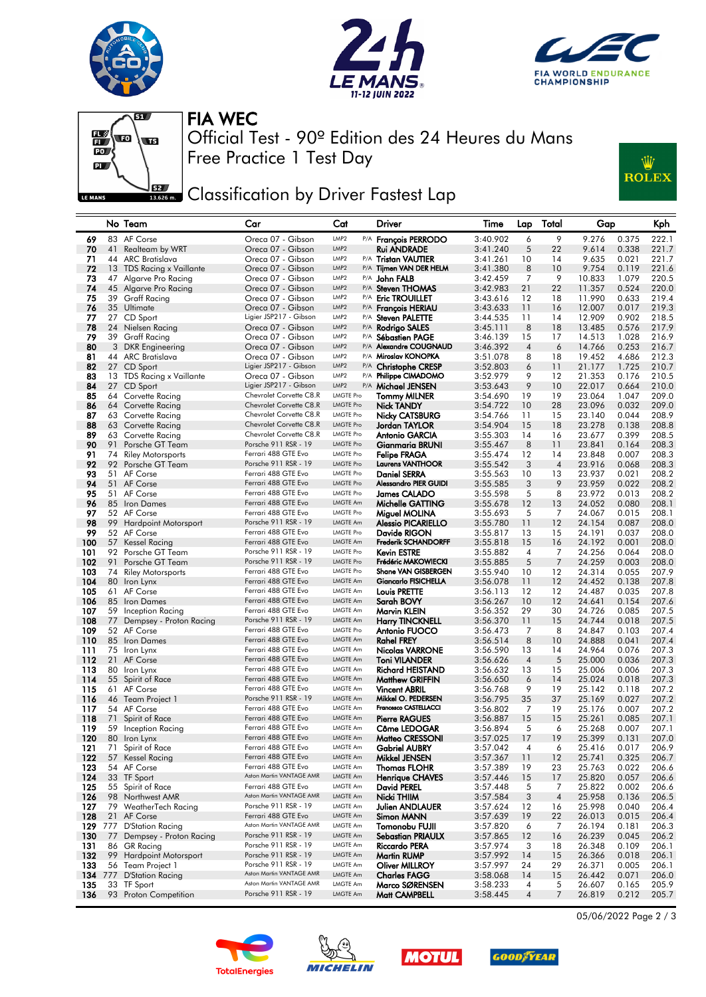







Free Practice 1 Test Day Official Test - 90º Edition des 24 Heures du Mans FIA WEC

## **JERE** Classification by Driver Fastest Lap



|            |    | No Team                                    | Car                                                | Cat                                  | Driver                                           | Time                 | Lap            | Total          | Gap              |                | Kph            |
|------------|----|--------------------------------------------|----------------------------------------------------|--------------------------------------|--------------------------------------------------|----------------------|----------------|----------------|------------------|----------------|----------------|
| 69         |    | 83 AF Corse                                | Oreca 07 - Gibson                                  | LMP2                                 | P/A François PERRODO                             | 3:40.902             | 6              | 9              | 9.276            | 0.375          | 222.1          |
| 70         | 41 | Realteam by WRT                            | Oreca 07 - Gibson                                  | LMP <sub>2</sub>                     | <b>Rui ANDRADE</b>                               | 3:41.240             | 5              | 22             | 9.614            | 0.338          | 221.7          |
| 71         |    | 44 ARC Bratislava                          | Oreca 07 - Gibson                                  | LMP2                                 | P/A Tristan VAUTIER                              | 3:41.261             | 10             | 14             | 9.635            | 0.021          | 221.7          |
| 72         |    | 13 TDS Racing x Vaillante                  | Oreca 07 - Gibson                                  | LMP <sub>2</sub>                     | P/A Tijmen VAN DER HELM                          | 3:41.380             | 8              | 10             | 9.754            | 0.119          | 221.6          |
| 73         |    | 47 Algarve Pro Racing                      | Oreca 07 - Gibson                                  | LMP <sub>2</sub>                     | P/A <b>John FALB</b>                             | 3:42.459             | 7              | 9              | 10.833           | 1.079          | 220.5          |
| 74<br>75   |    | 45 Algarve Pro Racing<br>39 Graff Racing   | Oreca 07 - Gibson<br>Oreca 07 - Gibson             | LMP <sub>2</sub><br>LMP2             | P/A Steven THOMAS<br>P/A Eric TROUILLET          | 3:42.983<br>3:43.616 | 21<br>12       | 22<br>18       | 11.357<br>11.990 | 0.524<br>0.633 | 220.0<br>219.4 |
| 76         |    | 35 Ultimate                                | Oreca 07 - Gibson                                  | LMP <sub>2</sub>                     | <sup>P/A</sup> François HERIAU                   | 3:43.633             | 11             | 16             | 12.007           | 0.017          | 219.3          |
| 77         |    | 27 CD Sport                                | Ligier JSP217 - Gibson                             | LMP <sub>2</sub>                     | P/A Steven PALETTE                               | 3:44.535             | 11             | 14             | 12.909           | 0.902          | 218.5          |
| 78         |    | 24 Nielsen Racing                          | Oreca 07 - Gibson                                  | LMP <sub>2</sub>                     | P/A Rodrigo SALES                                | 3:45.111             | 8              | 18             | 13.485           | 0.576          | 217.9          |
| 79         |    | 39 Graff Racing                            | Oreca 07 - Gibson                                  | LMP <sub>2</sub>                     | P/A Sébastien PAGE                               | 3:46.139             | 15             | 17             | 14.513           | 1.028          | 216.9          |
| 80         |    | 3 DKR Engineering                          | Oreca 07 - Gibson                                  | LMP <sub>2</sub>                     | P/A Alexandre COUGNAUD                           | 3:46.392             | $\overline{4}$ | 6              | 14.766           | 0.253          | 216.7          |
| 81         |    | 44 ARC Bratislava                          | Oreca 07 - Gibson                                  | LMP <sub>2</sub>                     | P/A Miroslav KONOPKA                             | 3:51.078             | 8              | 18             | 19.452           | 4.686          | 212.3          |
| 82         |    | 27 CD Sport                                | Ligier JSP217 - Gibson                             | LMP <sub>2</sub>                     | <sup>P/A</sup> Christophe CRESP                  | 3:52.803             | 6              | 11             | 21.177           | 1.725          | 210.7          |
| 83         |    | 13 TDS Racing x Vaillante                  | Oreca 07 - Gibson                                  | LMP2                                 | P/A Philippe CIMADOMO                            | 3:52.979             | 9              | 12             | 21.353           | 0.176          | 210.5          |
| 84         |    | 27 CD Sport                                | Ligier JSP217 - Gibson                             | LMP <sub>2</sub>                     | P/A Michael JENSEN                               | 3:53.643             | 9              | 10             | 22.017           | 0.664          | 210.0          |
| 85         |    | 64 Corvette Racing                         | Chevrolet Corvette C8.R<br>Chevrolet Corvette C8.R | <b>LMGTE Pro</b><br><b>LMGTE Pro</b> | <b>Tommy MILNER</b>                              | 3:54.690             | 19             | 19<br>28       | 23.064           | 1.047          | 209.0<br>209.0 |
| 86<br>87   |    | 64 Corvette Racing<br>63 Corvette Racing   | Chevrolet Corvette C8.R                            | <b>LMGTE Pro</b>                     | <b>Nick TANDY</b>                                | 3:54.722<br>3:54.766 | 10<br>11       | 15             | 23.096<br>23.140 | 0.032<br>0.044 | 208.9          |
| 88         |    | 63 Corvette Racing                         | Chevrolet Corvette C8.R                            | <b>LMGTE Pro</b>                     | Nicky CATSBURG<br>Jordan TAYLOR                  | 3:54.904             | 15             | 18             | 23.278           | 0.138          | 208.8          |
| 89         |    | 63 Corvette Racing                         | Chevrolet Corvette C8.R                            | <b>LMGTE Pro</b>                     | <b>Antonio GARCIA</b>                            | 3:55.303             | 14             | 16             | 23.677           | 0.399          | 208.5          |
| 90         |    | 91 Porsche GT Team                         | Porsche 911 RSR - 19                               | <b>LMGTE Pro</b>                     | Gianmaria BRUNI                                  | 3:55.467             | 8              | 11             | 23.841           | 0.164          | 208.3          |
| 91         |    | 74 Riley Motorsports                       | Ferrari 488 GTE Evo                                | <b>LMGTE Pro</b>                     | Felipe FRAGA                                     | 3:55.474             | 12             | 14             | 23.848           | 0.007          | 208.3          |
| 92         |    | 92 Porsche GT Team                         | Porsche 911 RSR - 19                               | <b>LMGTE Pro</b>                     | <b>Laurens VANTHOOR</b>                          | 3:55.542             | 3              | $\overline{4}$ | 23.916           | 0.068          | 208.3          |
| 93         |    | 51 AF Corse                                | Ferrari 488 GTE Evo                                | <b>LMGTE Pro</b>                     | Daniel SERRA                                     | 3:55.563             | 10             | 13             | 23.937           | 0.021          | 208.2          |
| 94         |    | 51 AF Corse                                | Ferrari 488 GTE Evo                                | <b>LMGTE Pro</b>                     | <b>Alessandro PIER GUIDI</b>                     | 3:55.585             | 3              | 9              | 23.959           | 0.022          | 208.2          |
| 95         |    | 51 AF Corse                                | Ferrari 488 GTE Evo                                | <b>LMGTE Pro</b>                     | James CALADO                                     | 3:55.598             | 5              | 8              | 23.972           | 0.013          | 208.2          |
| 96         |    | 85 Iron Dames                              | Ferrari 488 GTE Evo                                | <b>LMGTE Am</b>                      | Michelle GATTING                                 | 3:55.678             | 12             | 13             | 24.052           | 0.080          | 208.1          |
| 97         |    | 52 AF Corse                                | Ferrari 488 GTE Evo<br>Porsche 911 RSR - 19        | <b>LMGTE Pro</b><br><b>LMGTE Am</b>  | Miguel MOLINA<br><b>Alessio PICARIELLO</b>       | 3:55.693             | 5              | 7              | 24.067           | 0.015          | 208.1          |
| 98<br>99   |    | 99 Hardpoint Motorsport<br>52 AF Corse     | Ferrari 488 GTE Evo                                | <b>LMGTE Pro</b>                     | Davide RIGON                                     | 3:55.780<br>3:55.817 | 11<br>13       | 12<br>15       | 24.154<br>24.191 | 0.087<br>0.037 | 208.0<br>208.0 |
| 100        |    | 57 Kessel Racing                           | Ferrari 488 GTE Evo                                | <b>LMGTE Am</b>                      | <b>Frederik SCHANDORFF</b>                       | 3:55.818             | 15             | 16             | 24.192           | 0.001          | 208.0          |
| 101        |    | 92 Porsche GT Team                         | Porsche 911 RSR - 19                               | <b>LMGTE Pro</b>                     | Kevin ESTRE                                      | 3:55.882             | 4              | 7              | 24.256           | 0.064          | 208.0          |
| 102        |    | 91 Porsche GT Team                         | Porsche 911 RSR - 19                               | <b>LMGTE Pro</b>                     | Frédéric MAKOWIECKI                              | 3:55.885             | 5              | 7              | 24.259           | 0.003          | 208.0          |
| 103        | 74 | <b>Riley Motorsports</b>                   | Ferrari 488 GTE Evo                                | <b>LMGTE Pro</b>                     | Shane VAN GISBERGEN                              | 3:55.940             | 10             | 12             | 24.314           | 0.055          | 207.9          |
| 104        |    | 80 Iron Lynx                               | Ferrari 488 GTE Evo                                | <b>LMGTE Am</b>                      | <b>Giancarlo FISICHELLA</b>                      | 3:56.078             | 11             | 12             | 24.452           | 0.138          | 207.8          |
| 105        |    | 61 AF Corse                                | Ferrari 488 GTE Evo                                | LMGTE Am                             | Louis PRETTE                                     | 3:56.113             | 12             | 12             | 24.487           | 0.035          | 207.8          |
| 106        |    | 85 Iron Dames                              | Ferrari 488 GTE Evo                                | <b>LMGTE Am</b>                      | Sarah BOVY                                       | 3:56.267             | 10             | 12             | 24.641           | 0.154          | 207.6          |
| 107        |    | 59 Inception Racing                        | Ferrari 488 GTE Evo<br>Porsche 911 RSR - 19        | <b>LMGTE Am</b><br><b>LMGTE Am</b>   | Marvin KLEIN                                     | 3:56.352             | 29             | 30             | 24.726           | 0.085          | 207.5          |
| 108<br>109 |    | 77 Dempsey - Proton Racing<br>52 AF Corse  | Ferrari 488 GTE Evo                                | LMGTE Pro                            | <b>Harry TINCKNELL</b><br>Antonio FUOCO          | 3:56.370<br>3:56.473 | 11<br>7        | 15<br>8        | 24.744<br>24.847 | 0.018<br>0.103 | 207.5<br>207.4 |
| 110        |    | 85 Iron Dames                              | Ferrari 488 GTE Evo                                | <b>LMGTE Am</b>                      | Rahel FREY                                       | 3:56.514             | 8              | 10             | 24.888           | 0.041          | 207.4          |
| 111        |    | 75 Iron Lynx                               | Ferrari 488 GTE Evo                                | <b>LMGTE Am</b>                      | Nicolas VARRONE                                  | 3:56.590             | 13             | 14             | 24.964           | 0.076          | 207.3          |
| 112        |    | 21 AF Corse                                | Ferrari 488 GTE Evo                                | <b>LMGTE Am</b>                      | <b>Toni VILANDER</b>                             | 3:56.626             | $\overline{4}$ | 5              | 25.000           | 0.036          | 207.3          |
| 113        |    | 80 Iron Lynx                               | Ferrari 488 GTE Evo                                | <b>LMGTE Am</b>                      | Richard HEISTAND                                 | 3:56.632             | 13             | 15             | 25.006           | 0.006          | 207.3          |
| 114        |    | 55 Spirit of Race                          | Ferrari 488 GTE Evo                                | <b>LMGTE Am</b>                      | <b>Matthew GRIFFIN</b>                           | 3:56.650             | 6              | 14             | 25.024           | 0.018          | 207.3          |
| 115        |    | 61 AF Corse                                | Ferrari 488 GTE Evo                                | <b>LMGTE Am</b>                      | <b>Vincent ABRIL</b>                             | 3:56.768             | 9              | 19             | 25.142           | 0.118          | 207.2          |
| 116        |    | 46 Team Project 1                          | Porsche 911 RSR - 19                               | <b>LMGTE Am</b>                      | Mikkel O. PEDERSEN                               | 3:56.795             | 35             | 37             | 25.169           | 0.027          | 207.2          |
| 117        |    | 54 AF Corse                                | Ferrari 488 GTE Evo                                | <b>LMGTE Am</b>                      | Francesco CASTELLACCI                            | 3:56.802             | 7              | 19             | 25.176           | 0.007          | 207.2          |
| 118<br>119 |    | 71 Spirit of Race                          | Ferrari 488 GTE Evo<br>Ferrari 488 GTE Evo         | <b>LMGTE Am</b><br><b>LMGTE Am</b>   | <b>Pierre RAGUES</b><br><b>Côme LEDOGAR</b>      | 3:56.887             | 15             | 15             | 25.261           | 0.085          | 207.1          |
| 120        |    | 59 Inception Racing<br>80 Iron Lynx        | Ferrari 488 GTE Evo                                | <b>LMGTE Am</b>                      | Matteo CRESSONI                                  | 3:56.894<br>3:57.025 | 5<br>17        | 6<br>19        | 25.268<br>25.399 | 0.007<br>0.131 | 207.1<br>207.0 |
| 121        |    | 71 Spirit of Race                          | Ferrari 488 GTE Evo                                | LMGTE Am                             | <b>Gabriel AUBRY</b>                             | 3:57.042             | 4              | 6              | 25.416           | 0.017          | 206.9          |
| 122        |    | 57 Kessel Racing                           | Ferrari 488 GTE Evo                                | LMGTE Am                             | Mikkel JENSEN                                    | 3:57.367             | 11             | 12             | 25.741           | 0.325          | 206.7          |
| 123        |    | 54 AF Corse                                | Ferrari 488 GTE Evo                                | LMGTE Am                             | <b>Thomas FLOHR</b>                              | 3:57.389             | 19             | 23             | 25.763           | 0.022          | 206.6          |
| 124        |    | 33 TF Sport                                | Aston Martin VANTAGE AMR                           | <b>LMGTE Am</b>                      | <b>Henrique CHAVES</b>                           | 3:57.446             | 15             | 17             | 25.820           | 0.057          | 206.6          |
| 125        |    | 55 Spirit of Race                          | Ferrari 488 GTE Evo                                | LMGTE Am                             | David PEREL                                      | 3:57.448             | 5              | 7              | 25.822           | 0.002          | 206.6          |
| 126        |    | 98 Northwest AMR                           | Aston Martin VANTAGE AMR                           | LMGTE Am                             | Nicki THIIM                                      | 3:57.584             | 3              | $\overline{4}$ | 25.958           | 0.136          | 206.5          |
| 127        |    | 79 WeatherTech Racing                      | Porsche 911 RSR - 19                               | LMGTE Am                             | <b>Julien ANDLAUER</b>                           | 3:57.624             | 12             | 16             | 25.998           | 0.040          | 206.4          |
| 128        |    | 21 AF Corse                                | Ferrari 488 GTE Evo<br>Aston Martin VANTAGE AMR    | LMGTE Am                             | Simon MANN                                       | 3:57.639             | 19             | 22             | 26.013           | 0.015          | 206.4          |
| 129        |    | 777 D'Station Racing                       | Porsche 911 RSR - 19                               | LMGTE Am<br><b>LMGTE Am</b>          | Tomonobu FUJII                                   | 3:57.820             | 6              | 7              | 26.194           | 0.181          | 206.3          |
| 130<br>131 |    | 77 Dempsey - Proton Racing<br>86 GR Racing | Porsche 911 RSR - 19                               | LMGTE Am                             | <b>Sebastian PRIAULX</b><br><b>Riccardo PERA</b> | 3:57.865<br>3:57.974 | 12<br>3        | 16<br>18       | 26.239           | 0.045          | 206.2          |
| 132        |    | 99 Hardpoint Motorsport                    | Porsche 911 RSR - 19                               | LMGTE Am                             | <b>Martin RUMP</b>                               | 3:57.992             | 14             | 15             | 26.348<br>26.366 | 0.109<br>0.018 | 206.1<br>206.1 |
| 133        |    | 56 Team Project 1                          | Porsche 911 RSR - 19                               | LMGTE Am                             | <b>Oliver MILLROY</b>                            | 3:57.997             | 24             | 29             | 26.371           | 0.005          | 206.1          |
| 134        |    | 777 D'Station Racing                       | Aston Martin VANTAGE AMR                           | LMGTE Am                             | <b>Charles FAGG</b>                              | 3:58.068             | 14             | 15             | 26.442           | 0.071          | 206.0          |
| 135        |    | 33 TF Sport                                | Aston Martin VANTAGE AMR                           | <b>LMGTE Am</b>                      | Marco SØRENSEN                                   | 3:58.233             | 4              | 5              | 26.607           | 0.165          | 205.9          |
| 136        |    | 93 Proton Competition                      | Porsche 911 RSR - 19                               | LMGTE Am                             | Matt CAMPBELL                                    | 3:58.445             | $\overline{4}$ | 7              | 26.819           | 0.212          | 205.7          |
|            |    |                                            |                                                    |                                      |                                                  |                      |                |                |                  |                |                |









05/06/2022 Page 2 / 3